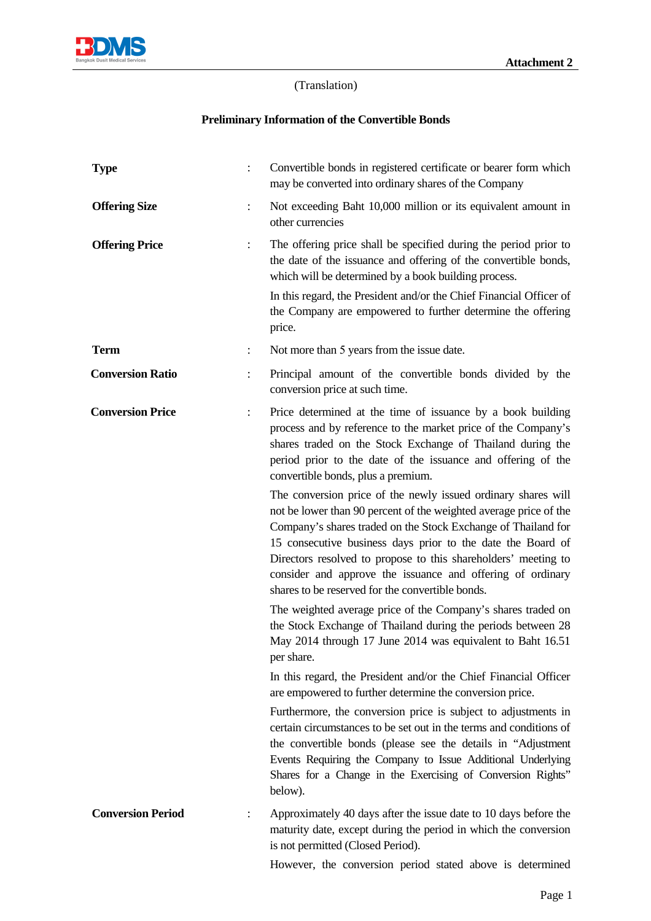

## (Translation)

## **Preliminary Information of the Convertible Bonds**

| <b>Type</b>              |                | Convertible bonds in registered certificate or bearer form which<br>may be converted into ordinary shares of the Company                                                                                                                                                                                                                                                                                                                               |
|--------------------------|----------------|--------------------------------------------------------------------------------------------------------------------------------------------------------------------------------------------------------------------------------------------------------------------------------------------------------------------------------------------------------------------------------------------------------------------------------------------------------|
| <b>Offering Size</b>     | $\ddot{\cdot}$ | Not exceeding Baht 10,000 million or its equivalent amount in<br>other currencies                                                                                                                                                                                                                                                                                                                                                                      |
| <b>Offering Price</b>    |                | The offering price shall be specified during the period prior to<br>the date of the issuance and offering of the convertible bonds,<br>which will be determined by a book building process.                                                                                                                                                                                                                                                            |
|                          |                | In this regard, the President and/or the Chief Financial Officer of<br>the Company are empowered to further determine the offering<br>price.                                                                                                                                                                                                                                                                                                           |
| <b>Term</b>              |                | Not more than 5 years from the issue date.                                                                                                                                                                                                                                                                                                                                                                                                             |
| <b>Conversion Ratio</b>  |                | Principal amount of the convertible bonds divided by the<br>conversion price at such time.                                                                                                                                                                                                                                                                                                                                                             |
| <b>Conversion Price</b>  | $\ddot{\cdot}$ | Price determined at the time of issuance by a book building<br>process and by reference to the market price of the Company's<br>shares traded on the Stock Exchange of Thailand during the<br>period prior to the date of the issuance and offering of the<br>convertible bonds, plus a premium.                                                                                                                                                       |
|                          |                | The conversion price of the newly issued ordinary shares will<br>not be lower than 90 percent of the weighted average price of the<br>Company's shares traded on the Stock Exchange of Thailand for<br>15 consecutive business days prior to the date the Board of<br>Directors resolved to propose to this shareholders' meeting to<br>consider and approve the issuance and offering of ordinary<br>shares to be reserved for the convertible bonds. |
|                          |                | The weighted average price of the Company's shares traded on<br>the Stock Exchange of Thailand during the periods between 28<br>May 2014 through 17 June 2014 was equivalent to Baht 16.51<br>per share.                                                                                                                                                                                                                                               |
|                          |                | In this regard, the President and/or the Chief Financial Officer<br>are empowered to further determine the conversion price.                                                                                                                                                                                                                                                                                                                           |
|                          |                | Furthermore, the conversion price is subject to adjustments in<br>certain circumstances to be set out in the terms and conditions of<br>the convertible bonds (please see the details in "Adjustment"<br>Events Requiring the Company to Issue Additional Underlying<br>Shares for a Change in the Exercising of Conversion Rights"<br>below).                                                                                                         |
| <b>Conversion Period</b> |                | Approximately 40 days after the issue date to 10 days before the<br>maturity date, except during the period in which the conversion<br>is not permitted (Closed Period).                                                                                                                                                                                                                                                                               |
|                          |                | However, the conversion period stated above is determined                                                                                                                                                                                                                                                                                                                                                                                              |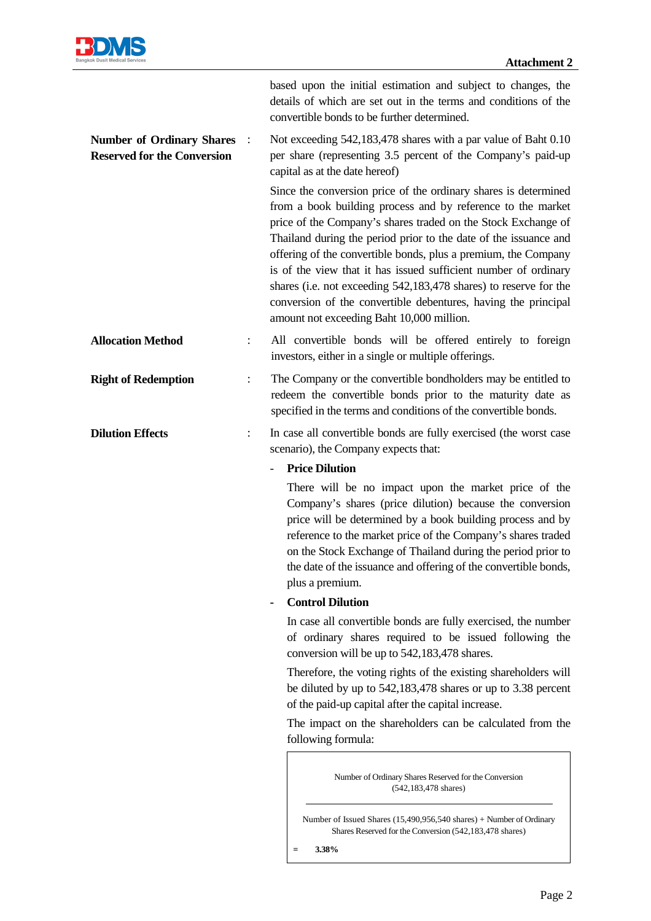

|                                                                        |                | based upon the initial estimation and subject to changes, the<br>details of which are set out in the terms and conditions of the<br>convertible bonds to be further determined.                                                                                                                                                                                                                                                                                                                                                                                                              |
|------------------------------------------------------------------------|----------------|----------------------------------------------------------------------------------------------------------------------------------------------------------------------------------------------------------------------------------------------------------------------------------------------------------------------------------------------------------------------------------------------------------------------------------------------------------------------------------------------------------------------------------------------------------------------------------------------|
| <b>Number of Ordinary Shares</b><br><b>Reserved for the Conversion</b> |                | Not exceeding 542,183,478 shares with a par value of Baht 0.10<br>per share (representing 3.5 percent of the Company's paid-up<br>capital as at the date hereof)                                                                                                                                                                                                                                                                                                                                                                                                                             |
|                                                                        |                | Since the conversion price of the ordinary shares is determined<br>from a book building process and by reference to the market<br>price of the Company's shares traded on the Stock Exchange of<br>Thailand during the period prior to the date of the issuance and<br>offering of the convertible bonds, plus a premium, the Company<br>is of the view that it has issued sufficient number of ordinary<br>shares (i.e. not exceeding 542,183,478 shares) to reserve for the<br>conversion of the convertible debentures, having the principal<br>amount not exceeding Baht 10,000 million. |
| <b>Allocation Method</b>                                               |                | All convertible bonds will be offered entirely to foreign<br>investors, either in a single or multiple offerings.                                                                                                                                                                                                                                                                                                                                                                                                                                                                            |
| <b>Right of Redemption</b>                                             |                | The Company or the convertible bondholders may be entitled to<br>redeem the convertible bonds prior to the maturity date as<br>specified in the terms and conditions of the convertible bonds.                                                                                                                                                                                                                                                                                                                                                                                               |
| <b>Dilution Effects</b>                                                | $\ddot{\cdot}$ | In case all convertible bonds are fully exercised (the worst case<br>scenario), the Company expects that:                                                                                                                                                                                                                                                                                                                                                                                                                                                                                    |
|                                                                        |                | <b>Price Dilution</b><br>There will be no impact upon the market price of the<br>Company's shares (price dilution) because the conversion<br>price will be determined by a book building process and by<br>reference to the market price of the Company's shares traded<br>on the Stock Exchange of Thailand during the period prior to<br>the date of the issuance and offering of the convertible bonds,                                                                                                                                                                                   |
|                                                                        |                | plus a premium.                                                                                                                                                                                                                                                                                                                                                                                                                                                                                                                                                                              |
|                                                                        |                | <b>Control Dilution</b>                                                                                                                                                                                                                                                                                                                                                                                                                                                                                                                                                                      |
|                                                                        |                | In case all convertible bonds are fully exercised, the number<br>of ordinary shares required to be issued following the<br>conversion will be up to 542,183,478 shares.                                                                                                                                                                                                                                                                                                                                                                                                                      |
|                                                                        |                | Therefore, the voting rights of the existing shareholders will<br>be diluted by up to 542,183,478 shares or up to 3.38 percent<br>of the paid-up capital after the capital increase.                                                                                                                                                                                                                                                                                                                                                                                                         |
|                                                                        |                | The impact on the shareholders can be calculated from the<br>following formula:                                                                                                                                                                                                                                                                                                                                                                                                                                                                                                              |
|                                                                        |                | Number of Ordinary Shares Reserved for the Conversion<br>$(542, 183, 478 \text{ shares})$                                                                                                                                                                                                                                                                                                                                                                                                                                                                                                    |
|                                                                        |                | Number of Issued Shares (15,490,956,540 shares) + Number of Ordinary<br>Shares Reserved for the Conversion (542,183,478 shares)                                                                                                                                                                                                                                                                                                                                                                                                                                                              |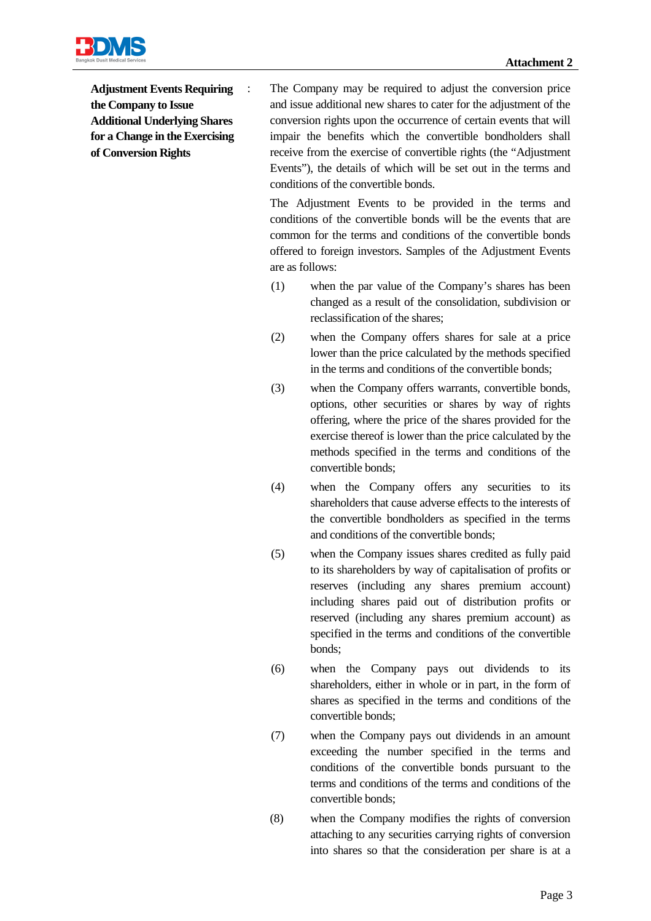

**Adjustment Events Requiring the Company to Issue Additional Underlying Shares for a Change in the Exercising of Conversion Rights** 

: The Company may be required to adjust the conversion price and issue additional new shares to cater for the adjustment of the conversion rights upon the occurrence of certain events that will impair the benefits which the convertible bondholders shall receive from the exercise of convertible rights (the "Adjustment Events"), the details of which will be set out in the terms and conditions of the convertible bonds.

The Adjustment Events to be provided in the terms and conditions of the convertible bonds will be the events that are common for the terms and conditions of the convertible bonds offered to foreign investors. Samples of the Adjustment Events are as follows:

- (1) when the par value of the Company's shares has been changed as a result of the consolidation, subdivision or reclassification of the shares;
- (2) when the Company offers shares for sale at a price lower than the price calculated by the methods specified in the terms and conditions of the convertible bonds;
- (3) when the Company offers warrants, convertible bonds, options, other securities or shares by way of rights offering, where the price of the shares provided for the exercise thereof is lower than the price calculated by the methods specified in the terms and conditions of the convertible bonds;
- (4) when the Company offers any securities to its shareholders that cause adverse effects to the interests of the convertible bondholders as specified in the terms and conditions of the convertible bonds;
- (5) when the Company issues shares credited as fully paid to its shareholders by way of capitalisation of profits or reserves (including any shares premium account) including shares paid out of distribution profits or reserved (including any shares premium account) as specified in the terms and conditions of the convertible bonds;
- (6) when the Company pays out dividends to its shareholders, either in whole or in part, in the form of shares as specified in the terms and conditions of the convertible bonds;
- (7) when the Company pays out dividends in an amount exceeding the number specified in the terms and conditions of the convertible bonds pursuant to the terms and conditions of the terms and conditions of the convertible bonds;
- (8) when the Company modifies the rights of conversion attaching to any securities carrying rights of conversion into shares so that the consideration per share is at a